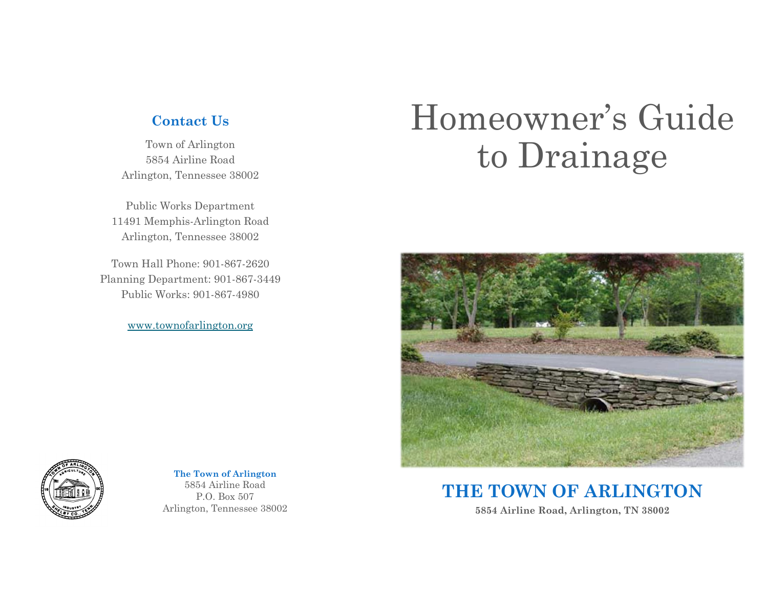## **Contact Us**

Town of Arlington 5854 Airline Road Arlington, Tennessee 38002

Public Works Department 11491 Memphis-Arlington Road Arlington, Tennessee 38002

Town Hall Phone: 901-867-2620 Planning Department: 901-867-3449 Public Works: 901-867-4980

[www.townofarlington.org](http://www.townofarlington.org/)

# Homeowner's Guide to Drainage





**The Town of Arlington** 5854 Airline Road P.O. Box 507 Arlington, Tennessee 38002

**THE TOWN OF ARLINGTON**

**5854 Airline Road, Arlington, TN 38002**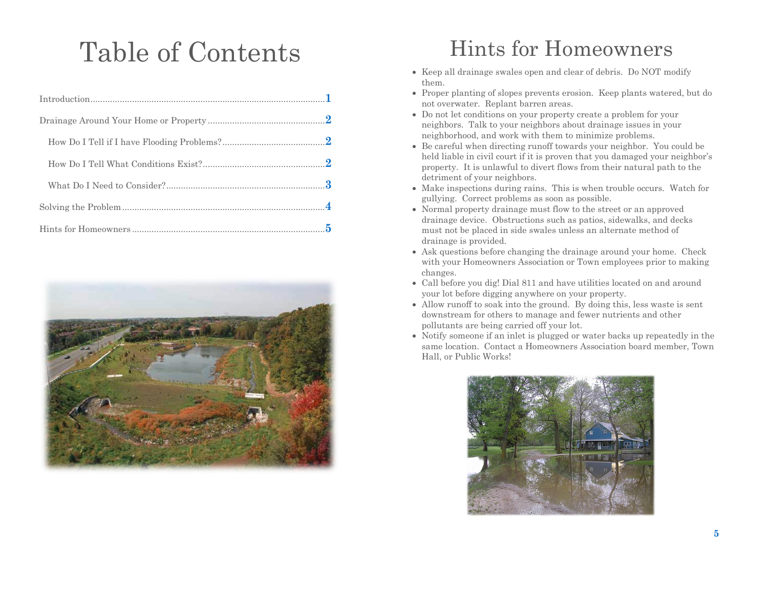# Table of Contents



## Hints for Homeowners

- Keep all drainage swales open and clear of debris. Do NOT modify them.
- Proper planting of slopes prevents erosion. Keep plants watered, but do not overwater. Replant barren areas.
- Do not let conditions on your property create a problem for your neighbors. Talk to your neighbors about drainage issues in your neighborhood, and work with them to minimize problems.
- Be careful when directing runoff towards your neighbor. You could be held liable in civil court if it is proven that you damaged your neighbor's property. It is unlawful to divert flows from their natural path to the detriment of your neighbors.
- Make inspections during rains. This is when trouble occurs. Watch for gullying. Correct problems as soon as possible.
- Normal property drainage must flow to the street or an approved drainage device. Obstructions such as patios, sidewalks, and decks must not be placed in side swales unless an alternate method of drainage is provided.
- Ask questions before changing the drainage around your home. Check with your Homeowners Association or Town employees prior to making changes.
- Call before you dig! Dial 811 and have utilities located on and around your lot before digging anywhere on your property.
- Allow runoff to soak into the ground. By doing this, less waste is sent downstream for others to manage and fewer nutrients and other pollutants are being carried off your lot.
- Notify someone if an inlet is plugged or water backs up repeatedly in the same location. Contact a Homeowners Association board member, Town Hall, or Public Works!

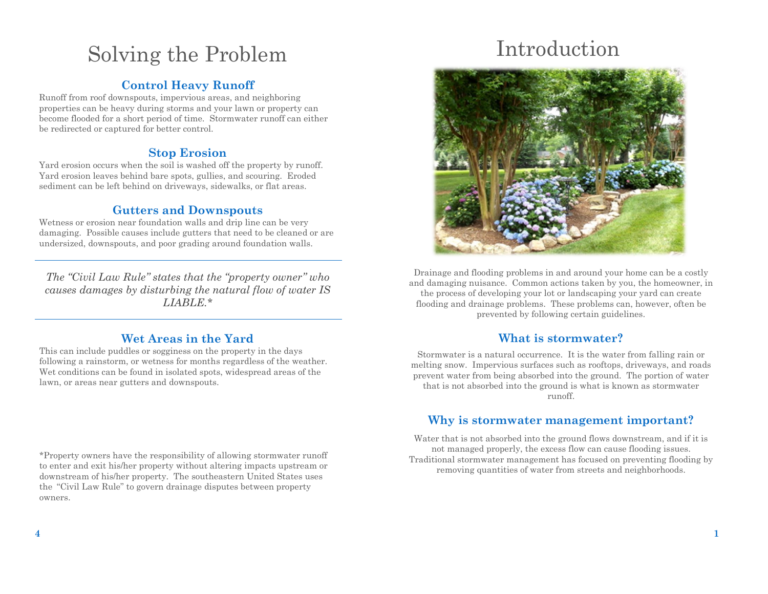## Solving the Problem

## **Control Heavy Runoff**

Runoff from roof downspouts, impervious areas, and neighboring properties can be heavy during storms and your lawn or property can become flooded for a short period of time. Stormwater runoff can either be redirected or captured for better control.

### **Stop Erosion**

Yard erosion occurs when the soil is washed off the property by runoff. Yard erosion leaves behind bare spots, gullies, and scouring. Eroded sediment can be left behind on driveways, sidewalks, or flat areas.

### **Gutters and Downspouts**

Wetness or erosion near foundation walls and drip line can be very damaging. Possible causes include gutters that need to be cleaned or are undersized, downspouts, and poor grading around foundation walls.

*The "Civil Law Rule" states that the "property owner" who causes damages by disturbing the natural flow of water IS LIABLE.\**

## **Wet Areas in the Yard**

This can include puddles or sogginess on the property in the days following a rainstorm, or wetness for months regardless of the weather. Wet conditions can be found in isolated spots, widespread areas of the lawn, or areas near gutters and downspouts.

\*Property owners have the responsibility of allowing stormwater runoff to enter and exit his/her property without altering impacts upstream or downstream of his/her property. The southeastern United States uses the "Civil Law Rule" to govern drainage disputes between property owners.

## Introduction



Drainage and flooding problems in and around your home can be a costly and damaging nuisance. Common actions taken by you, the homeowner, in the process of developing your lot or landscaping your yard can create flooding and drainage problems. These problems can, however, often be prevented by following certain guidelines.

### **What is stormwater?**

Stormwater is a natural occurrence. It is the water from falling rain or melting snow. Impervious surfaces such as rooftops, driveways, and roads prevent water from being absorbed into the ground. The portion of water that is not absorbed into the ground is what is known as stormwater runoff.

### **Why is stormwater management important?**

Water that is not absorbed into the ground flows downstream, and if it is not managed properly, the excess flow can cause flooding issues. Traditional stormwater management has focused on preventing flooding by removing quantities of water from streets and neighborhoods.